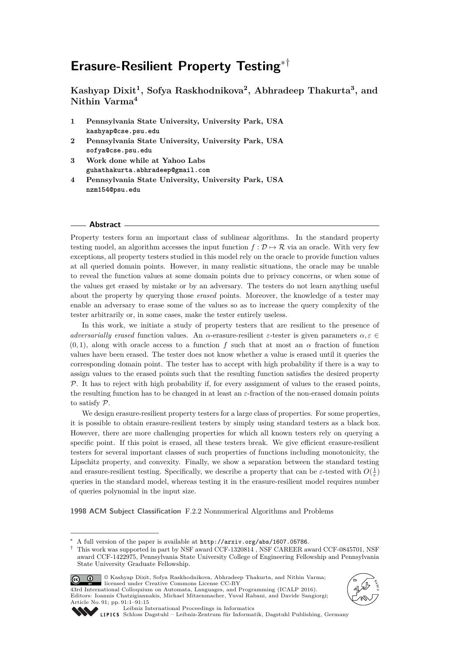# **Erasure-Resilient Property Testing**∗†

**Kashyap Dixit<sup>1</sup> , Sofya Raskhodnikova<sup>2</sup> , Abhradeep Thakurta<sup>3</sup> , and Nithin Varma<sup>4</sup>**

- **1 Pennsylvania State University, University Park, USA kashyap@cse.psu.edu**
- **2 Pennsylvania State University, University Park, USA sofya@cse.psu.edu**
- **3 Work done while at Yahoo Labs guhathakurta.abhradeep@gmail.com**
- **4 Pennsylvania State University, University Park, USA nzm154@psu.edu**

#### **Abstract**

Property testers form an important class of sublinear algorithms. In the standard property testing model, an algorithm accesses the input function  $f : \mathcal{D} \mapsto \mathcal{R}$  via an oracle. With very few exceptions, all property testers studied in this model rely on the oracle to provide function values at all queried domain points. However, in many realistic situations, the oracle may be unable to reveal the function values at some domain points due to privacy concerns, or when some of the values get erased by mistake or by an adversary. The testers do not learn anything useful about the property by querying those *erased* points. Moreover, the knowledge of a tester may enable an adversary to erase some of the values so as to increase the query complexity of the tester arbitrarily or, in some cases, make the tester entirely useless.

In this work, we initiate a study of property testers that are resilient to the presence of *adversarially erased* function values. An *α*-erasure-resilient *ε*-tester is given parameters *α, ε* ∈  $(0,1)$ , along with oracle access to a function *f* such that at most an  $\alpha$  fraction of function values have been erased. The tester does not know whether a value is erased until it queries the corresponding domain point. The tester has to accept with high probability if there is a way to assign values to the erased points such that the resulting function satisfies the desired property  $P$ . It has to reject with high probability if, for every assignment of values to the erased points, the resulting function has to be changed in at least an *ε*-fraction of the non-erased domain points to satisfy P.

We design erasure-resilient property testers for a large class of properties. For some properties, it is possible to obtain erasure-resilient testers by simply using standard testers as a black box. However, there are more challenging properties for which all known testers rely on querying a specific point. If this point is erased, all these testers break. We give efficient erasure-resilient testers for several important classes of such properties of functions including monotonicity, the Lipschitz property, and convexity. Finally, we show a separation between the standard testing and erasure-resilient testing. Specifically, we describe a property that can be  $\varepsilon$ -tested with  $O(\frac{1}{\varepsilon})$ queries in the standard model, whereas testing it in the erasure-resilient model requires number of queries polynomial in the input size.

**1998 ACM Subject Classification** F.2.2 Nonnumerical Algorithms and Problems

<sup>†</sup> This work was supported in part by NSF award CCF-1320814 , NSF CAREER award CCF-0845701, NSF award CCF-1422975, Pennsylvania State University College of Engineering Fellowship and Pennsylvania State University Graduate Fellowship.



© Kashyap Dixit, Sofya Raskhodnikova, Abhradeep Thakurta, and Nithin Varma;  $\circledcirc$ 1374 International Colloquium on Automata, Languages, and Programming (ICALP 2016). Editors: Ioannis Chatzigiannakis, Michael Mitzenmacher, Yuval Rabani, and Davide Sangiorgi; Article No. 91; pp. 91:1–91[:15](#page-14-0)





[Leibniz International Proceedings in Informatics](http://www.dagstuhl.de/lipics/)

A full version of the paper is available at <http://arxiv.org/abs/1607.05786>.

[Schloss Dagstuhl – Leibniz-Zentrum für Informatik, Dagstuhl Publishing, Germany](http://www.dagstuhl.de)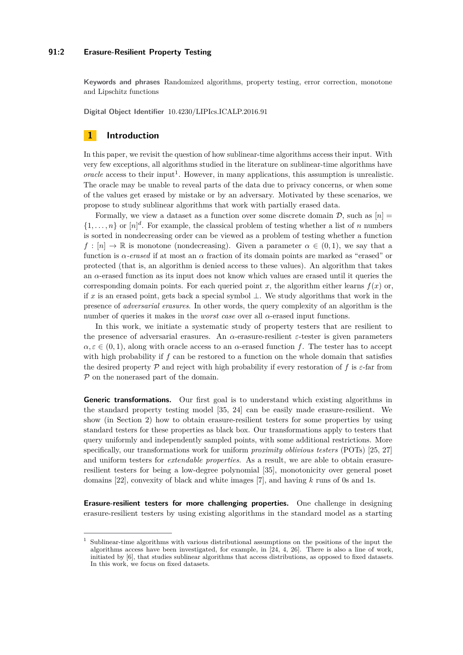### **91:2 Erasure-Resilient Property Testing**

**Keywords and phrases** Randomized algorithms, property testing, error correction, monotone and Lipschitz functions

**Digital Object Identifier** [10.4230/LIPIcs.ICALP.2016.91](http://dx.doi.org/10.4230/LIPIcs.ICALP.2016.91)

## **1 Introduction**

In this paper, we revisit the question of how sublinear-time algorithms access their input. With very few exceptions, all algorithms studied in the literature on sublinear-time algorithms have  $oracle$  access to their input<sup>[1](#page-1-0)</sup>. However, in many applications, this assumption is unrealistic. The oracle may be unable to reveal parts of the data due to privacy concerns, or when some of the values get erased by mistake or by an adversary. Motivated by these scenarios, we propose to study sublinear algorithms that work with partially erased data.

Formally, we view a dataset as a function over some discrete domain  $\mathcal{D}$ , such as  $[n] =$  $\{1,\ldots,n\}$  or  $[n]^d$ . For example, the classical problem of testing whether a list of *n* numbers is sorted in nondecreasing order can be viewed as a problem of testing whether a function *f* :  $[n] \rightarrow \mathbb{R}$  is monotone (nondecreasing). Given a parameter  $\alpha \in (0,1)$ , we say that a function is *α-erased* if at most an *α* fraction of its domain points are marked as "erased" or protected (that is, an algorithm is denied access to these values). An algorithm that takes an *α*-erased function as its input does not know which values are erased until it queries the corresponding domain points. For each queried point  $x$ , the algorithm either learns  $f(x)$  or, if *x* is an erased point, gets back a special symbol ⊥. We study algorithms that work in the presence of *adversarial erasures*. In other words, the query complexity of an algorithm is the number of queries it makes in the *worst case* over all *α*-erased input functions.

In this work, we initiate a systematic study of property testers that are resilient to the presence of adversarial erasures. An *α*-erasure-resilient *ε*-tester is given parameters  $\alpha, \varepsilon \in (0, 1)$ , along with oracle access to an *α*-erased function *f*. The tester has to accept with high probability if f can be restored to a function on the whole domain that satisfies the desired property P and reject with high probability if every restoration of *f* is *ε*-far from P on the nonerased part of the domain.

**Generic transformations.** Our first goal is to understand which existing algorithms in the standard property testing model [\[35,](#page-14-1) [24\]](#page-13-0) can be easily made erasure-resilient. We show (in Section [2\)](#page-5-0) how to obtain erasure-resilient testers for some properties by using standard testers for these properties as black box. Our transformations apply to testers that query uniformly and independently sampled points, with some additional restrictions. More specifically, our transformations work for uniform *proximity oblivious testers* (POTs) [\[25,](#page-13-1) [27\]](#page-13-2) and uniform testers for *extendable properties*. As a result, we are able to obtain erasureresilient testers for being a low-degree polynomial [\[35\]](#page-14-1), monotonicity over general poset domains [\[22\]](#page-13-3), convexity of black and white images [\[7\]](#page-12-0), and having *k* runs of 0s and 1s.

**Erasure-resilient testers for more challenging properties.** One challenge in designing erasure-resilient testers by using existing algorithms in the standard model as a starting

<span id="page-1-0"></span><sup>1</sup> Sublinear-time algorithms with various distributional assumptions on the positions of the input the algorithms access have been investigated, for example, in [\[24,](#page-13-0) [4,](#page-12-1) [26\]](#page-13-4). There is also a line of work, initiated by [\[6\]](#page-12-2), that studies sublinear algorithms that access distributions, as opposed to fixed datasets. In this work, we focus on fixed datasets.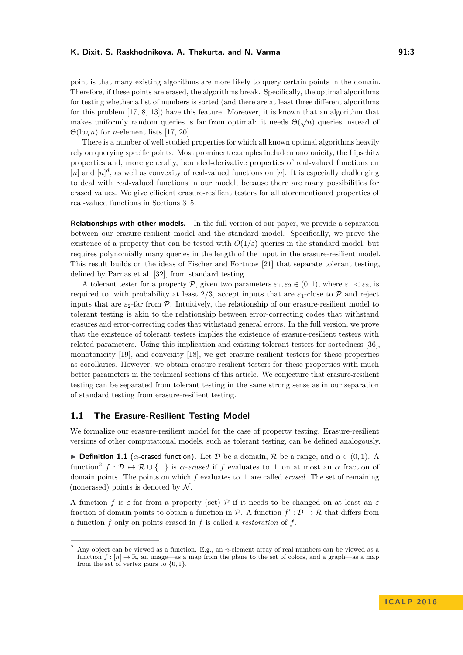point is that many existing algorithms are more likely to query certain points in the domain. Therefore, if these points are erased, the algorithms break. Specifically, the optimal algorithms for testing whether a list of numbers is sorted (and there are at least three different algorithms for this problem [\[17,](#page-13-5) [8,](#page-12-3) [13\]](#page-12-4)) have this feature. Moreover, it is known that an algorithm that makes uniformly random queries is far from optimal: it needs  $\Theta(\sqrt{n})$  queries instead of Θ(log *n*) for *n*-element lists [\[17,](#page-13-5) [20\]](#page-13-6).

There is a number of well studied properties for which all known optimal algorithms heavily rely on querying specific points. Most prominent examples include monotonicity, the Lipschitz properties and, more generally, bounded-derivative properties of real-valued functions on  $[n]$  and  $[n]^d$ , as well as convexity of real-valued functions on  $[n]$ . It is especially challenging to deal with real-valued functions in our model, because there are many possibilities for erased values. We give efficient erasure-resilient testers for all aforementioned properties of real-valued functions in Sections [3–](#page-7-0)[5.](#page-10-0)

**Relationships with other models.** In the full version of our paper, we provide a separation between our erasure-resilient model and the standard model. Specifically, we prove the existence of a property that can be tested with  $O(1/\varepsilon)$  queries in the standard model, but requires polynomially many queries in the length of the input in the erasure-resilient model. This result builds on the ideas of Fischer and Fortnow [\[21\]](#page-13-7) that separate tolerant testing, defined by Parnas et al. [\[32\]](#page-13-8), from standard testing.

A tolerant tester for a property P, given two parameters  $\varepsilon_1, \varepsilon_2 \in (0, 1)$ , where  $\varepsilon_1 < \varepsilon_2$ , is required to, with probability at least  $2/3$ , accept inputs that are  $\varepsilon_1$ -close to P and reject inputs that are  $\varepsilon_2$ -far from P. Intuitively, the relationship of our erasure-resilient model to tolerant testing is akin to the relationship between error-correcting codes that withstand erasures and error-correcting codes that withstand general errors. In the full version, we prove that the existence of tolerant testers implies the existence of erasure-resilient testers with related parameters. Using this implication and existing tolerant testers for sortedness [\[36\]](#page-14-2), monotonicity [\[19\]](#page-13-9), and convexity [\[18\]](#page-13-10), we get erasure-resilient testers for these properties as corollaries. However, we obtain erasure-resilient testers for these properties with much better parameters in the technical sections of this article. We conjecture that erasure-resilient testing can be separated from tolerant testing in the same strong sense as in our separation of standard testing from erasure-resilient testing.

## **1.1 The Erasure-Resilient Testing Model**

We formalize our erasure-resilient model for the case of property testing. Erasure-resilient versions of other computational models, such as tolerant testing, can be defined analogously.

**► Definition 1.1** (*α*-erased function). Let *D* be a domain, *R* be a range, and  $α ∈ (0,1)$ . A function<sup>[2](#page-2-0)</sup>  $f: \mathcal{D} \mapsto \mathcal{R} \cup \{\perp\}$  is  $\alpha$ -erased if  $f$  evaluates to  $\perp$  on at most an  $\alpha$  fraction of domain points. The points on which *f* evaluates to ⊥ are called *erased*. The set of remaining (nonerased) points is denoted by  $N$ .

A function *f* is  $\varepsilon$ -far from a property (set) P if it needs to be changed on at least an  $\varepsilon$ fraction of domain points to obtain a function in  $\mathcal{P}$ . A function  $f':\mathcal{D}\to\mathcal{R}$  that differs from a function *f* only on points erased in *f* is called a *restoration* of *f*.

<span id="page-2-0"></span><sup>2</sup> Any object can be viewed as a function. E.g., an *n*-element array of real numbers can be viewed as a function  $f: [n] \to \mathbb{R}$ , an image—as a map from the plane to the set of colors, and a graph—as a map from the set of vertex pairs to {0*,* 1}.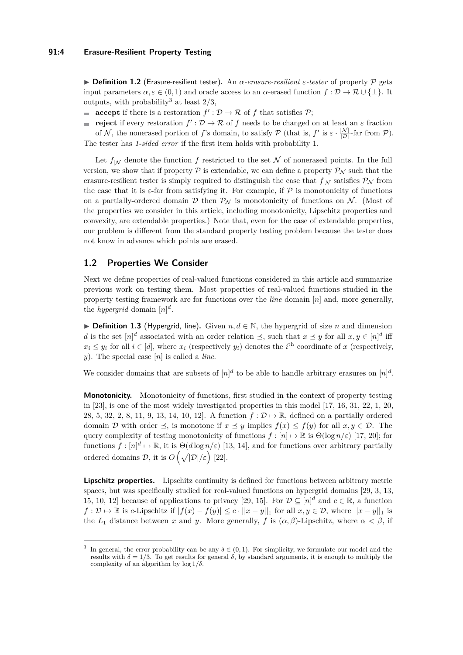I **Definition 1.2** (Erasure-resilient tester)**.** An *α-erasure-resilient ε-tester* of property P gets input parameters  $\alpha, \varepsilon \in (0, 1)$  and oracle access to an  $\alpha$ -erased function  $f : \mathcal{D} \to \mathcal{R} \cup \{\perp\}$ . It outputs, with probability<sup>[3](#page-3-0)</sup> at least  $2/3$ ,

**accept** if there is a restoration  $f': \mathcal{D} \to \mathcal{R}$  of *f* that satisfies  $\mathcal{P}$ ;

**reject** if every restoration  $f': \mathcal{D} \to \mathcal{R}$  of f needs to be changed on at least an  $\varepsilon$  fraction of N, the nonerased portion of f's domain, to satisfy P (that is,  $f'$  is  $\varepsilon \cdot \frac{|N|}{|D|}$ -far from P). The tester has *1-sided error* if the first item holds with probability 1.

Let  $f_{|N}$  denote the function f restricted to the set N of nonerased points. In the full version, we show that if property  $\mathcal P$  is extendable, we can define a property  $\mathcal P_N$  such that the erasure-resilient tester is simply required to distinguish the case that  $f_{\vert \mathcal{N}}$  satisfies  $\mathcal{P}_{\mathcal{N}}$  from the case that it is  $\varepsilon$ -far from satisfying it. For example, if  $P$  is monotonicity of functions on a partially-ordered domain D then  $\mathcal{P}_{N}$  is monotonicity of functions on N. (Most of the properties we consider in this article, including monotonicity, Lipschitz properties and convexity, are extendable properties.) Note that, even for the case of extendable properties, our problem is different from the standard property testing problem because the tester does not know in advance which points are erased.

## <span id="page-3-1"></span>**1.2 Properties We Consider**

Next we define properties of real-valued functions considered in this article and summarize previous work on testing them. Most properties of real-valued functions studied in the property testing framework are for functions over the *line* domain [*n*] and, more generally, the *hypergrid* domain  $[n]^d$ .

**► Definition 1.3** (Hypergrid, line). Given  $n, d \in \mathbb{N}$ , the hypergrid of size *n* and dimension *d* is the set  $[n]^d$  associated with an order relation  $\preceq$ , such that  $x \preceq y$  for all  $x, y \in [n]^d$  iff  $x_i \leq y_i$  for all  $i \in [d]$ , where  $x_i$  (respectively  $y_i$ ) denotes the *i*<sup>th</sup> coordinate of *x* (respectively, *y*). The special case [*n*] is called a *line*.

We consider domains that are subsets of  $[n]^d$  to be able to handle arbitrary erasures on  $[n]^d$ .

**Monotonicity.** Monotonicity of functions, first studied in the context of property testing in [\[23\]](#page-13-11), is one of the most widely investigated properties in this model [\[17,](#page-13-5) [16,](#page-13-12) [31,](#page-13-13) [22,](#page-13-3) [1,](#page-12-5) [20,](#page-13-6) [28,](#page-13-14) [5,](#page-12-6) [32,](#page-13-8) [2,](#page-12-7) [8,](#page-12-3) [11,](#page-12-8) [9,](#page-12-9) [13,](#page-12-4) [14,](#page-12-10) [10,](#page-12-11) [12\]](#page-12-12). A function  $f: \mathcal{D} \mapsto \mathbb{R}$ , defined on a partially ordered domain D with order  $\preceq$ , is monotone if  $x \preceq y$  implies  $f(x) \leq f(y)$  for all  $x, y \in \mathcal{D}$ . The query complexity of testing monotonicity of functions  $f : [n] \mapsto \mathbb{R}$  is  $\Theta(\log n/\varepsilon)$  [\[17,](#page-13-5) [20\]](#page-13-6); for functions  $f: [n]^d \mapsto \mathbb{R}$ , it is  $\Theta(d \log n/\varepsilon)$  [\[13,](#page-12-4) [14\]](#page-12-10), and for functions over arbitrary partially ordered domains  $\mathcal{D}$ , it is  $O\left(\sqrt{|\mathcal{D}|/\varepsilon}\right)$  [\[22\]](#page-13-3).

**Lipschitz properties.** Lipschitz continuity is defined for functions between arbitrary metric spaces, but was specifically studied for real-valued functions on hypergrid domains [\[29,](#page-13-15) [3,](#page-12-13) [13,](#page-12-4) [15,](#page-13-16) [10,](#page-12-11) [12\]](#page-12-12) because of applications to privacy [\[29,](#page-13-15) [15\]](#page-13-16). For  $D \subseteq [n]^d$  and  $c \in \mathbb{R}$ , a function *f* :  $\mathcal{D} \mapsto \mathbb{R}$  is *c*-Lipschitz if  $|f(x) - f(y)| \le c \cdot ||x - y||_1$  for all  $x, y \in \mathcal{D}$ , where  $||x - y||_1$  is the  $L_1$  distance between *x* and *y*. More generally, *f* is  $(\alpha, \beta)$ -Lipschitz, where  $\alpha < \beta$ , if

<span id="page-3-0"></span><sup>&</sup>lt;sup>3</sup> In general, the error probability can be any  $\delta \in (0,1)$ . For simplicity, we formulate our model and the results with  $\delta = 1/3$ . To get results for general *δ*, by standard arguments, it is enough to multiply the complexity of an algorithm by log 1*/δ*.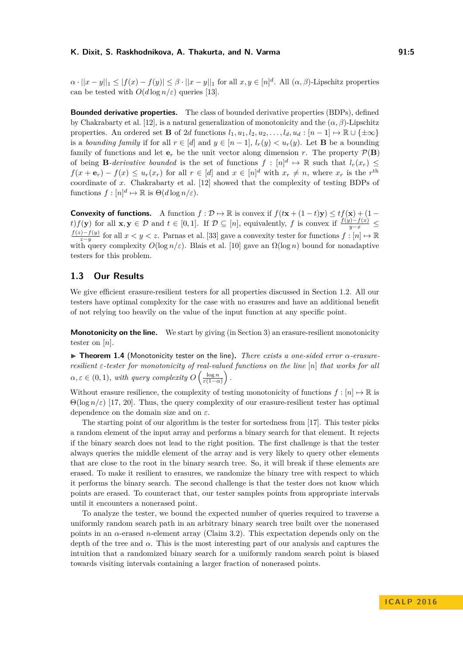$\alpha \cdot ||x - y||_1 \leq |f(x) - f(y)| \leq \beta \cdot ||x - y||_1$  for all  $x, y \in [n]^d$ . All  $(\alpha, \beta)$ -Lipschitz properties can be tested with  $O(d \log n/\varepsilon)$  queries [\[13\]](#page-12-4).

**Bounded derivative properties.** The class of bounded derivative properties (BDPs), defined by Chakrabarty et al. [\[12\]](#page-12-12), is a natural generalization of monotonicity and the  $(\alpha, \beta)$ -Lipschitz properties. An ordered set **B** of 2*d* functions  $l_1, u_1, l_2, u_2, \ldots, l_d, u_d : [n-1] \mapsto \mathbb{R} \cup \{\pm \infty\}$ is a *bounding family* if for all  $r \in [d]$  and  $y \in [n-1]$ ,  $l_r(y) < u_r(y)$ . Let **B** be a bounding family of functions and let  $\mathbf{e}_r$  be the unit vector along dimension *r*. The property  $\mathcal{P}(\mathbf{B})$ of being **B***-derivative bounded* is the set of functions  $f : [n]^d \mapsto \mathbb{R}$  such that  $l_r(x_r) \leq$  $f(x+\mathbf{e}_r) - f(x) \le u_r(x_r)$  for all  $r \in [d]$  and  $x \in [n]^d$  with  $x_r \neq n$ , where  $x_r$  is the  $r^{\text{th}}$ coordinate of *x*. Chakrabarty et al. [\[12\]](#page-12-12) showed that the complexity of testing BDPs of functions  $f: [n]^d \mapsto \mathbb{R}$  is  $\Theta(d \log n/\varepsilon)$ .

**Convexity of functions.** A function  $f: \mathcal{D} \mapsto \mathbb{R}$  is convex if  $f(t\mathbf{x} + (1-t)\mathbf{y}) \leq tf(\mathbf{x}) + (1-t)\mathbf{y}$  $f(f(\mathbf{y}))$  for all  $\mathbf{x}, \mathbf{y} \in \mathcal{D}$  and  $t \in [0,1]$ . If  $\mathcal{D} \subseteq [n]$ , equivalently, f is convex if  $\frac{f(y)-f(x)}{y-x} \leq$ <br> $f(z)-f(y)$  for all  $x \leq x$ . Parma at al. [22] gave a sonrarity tester for functions f i [a]  $\cup \mathbb{R$  $\frac{f(y)-f(y)}{z-y}$  for all  $x < y < z$ . Parnas et al. [\[33\]](#page-13-17) gave a convexity tester for functions  $f: [n] \mapsto \mathbb{R}$ with query complexity  $O(\log n/\varepsilon)$ . Blais et al. [\[10\]](#page-12-11) gave an  $\Omega(\log n)$  bound for nonadaptive testers for this problem.

## **1.3 Our Results**

We give efficient erasure-resilient testers for all properties discussed in Section [1.2.](#page-3-1) All our testers have optimal complexity for the case with no erasures and have an additional benefit of not relying too heavily on the value of the input function at any specific point.

**Monotonicity on the line.** We start by giving (in Section [3\)](#page-7-0) an erasure-resilient monotonicity tester on [*n*].

<span id="page-4-0"></span>I **Theorem 1.4** (Monotonicity tester on the line)**.** *There exists a one-sided error α-erasureresilient ε-tester for monotonicity of real-valued functions on the line* [*n*] *that works for all*  $\alpha, \varepsilon \in (0, 1)$ *, with query complexity*  $O\left(\frac{\log n}{\varepsilon(1-\alpha)}\right)$ .

Without erasure resilience, the complexity of testing monotonicity of functions  $f : [n] \mapsto \mathbb{R}$  is Θ(log *n/ε*) [\[17,](#page-13-5) [20\]](#page-13-6). Thus, the query complexity of our erasure-resilient tester has optimal dependence on the domain size and on *ε*.

The starting point of our algorithm is the tester for sortedness from [\[17\]](#page-13-5). This tester picks a random element of the input array and performs a binary search for that element. It rejects if the binary search does not lead to the right position. The first challenge is that the tester always queries the middle element of the array and is very likely to query other elements that are close to the root in the binary search tree. So, it will break if these elements are erased. To make it resilient to erasures, we randomize the binary tree with respect to which it performs the binary search. The second challenge is that the tester does not know which points are erased. To counteract that, our tester samples points from appropriate intervals until it encounters a nonerased point.

To analyze the tester, we bound the expected number of queries required to traverse a uniformly random search path in an arbitrary binary search tree built over the nonerased points in an *α*-erased *n*-element array (Claim [3.2\)](#page-8-0). This expectation depends only on the depth of the tree and *α*. This is the most interesting part of our analysis and captures the intuition that a randomized binary search for a uniformly random search point is biased towards visiting intervals containing a larger fraction of nonerased points.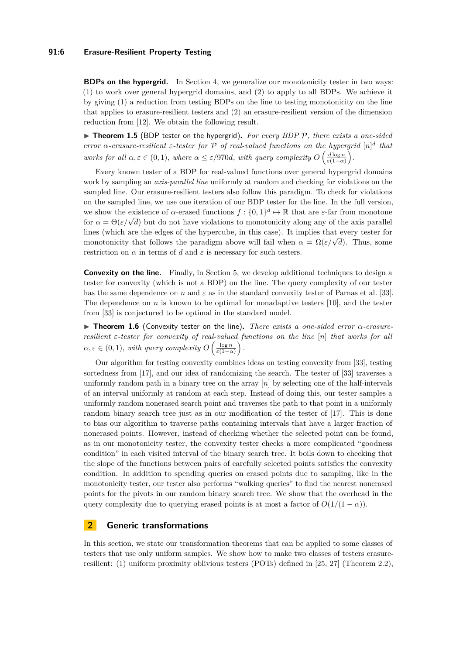### **91:6 Erasure-Resilient Property Testing**

**BDPs on the hypergrid.** In Section [4,](#page-9-0) we generalize our monotonicity tester in two ways: (1) to work over general hypergrid domains, and (2) to apply to all BDPs. We achieve it by giving (1) a reduction from testing BDPs on the line to testing monotonicity on the line that applies to erasure-resilient testers and (2) an erasure-resilient version of the dimension reduction from [\[12\]](#page-12-12). We obtain the following result.

<span id="page-5-1"></span>▶ **Theorem 1.5** (BDP tester on the hypergrid). *For every BDP P*, there exists a one-sided *error*  $\alpha$ -erasure-resilient  $\varepsilon$ -tester for  $\mathcal{P}$  of real-valued functions on the hypergrid  $[n]^d$  that *works for all*  $\alpha, \varepsilon \in (0, 1)$ *, where*  $\alpha \leq \varepsilon/970d$ *, with query complexity*  $O\left(\frac{d \log n}{\varepsilon(1-\alpha)}\right)$ *.* 

Every known tester of a BDP for real-valued functions over general hypergrid domains work by sampling an *axis-parallel line* uniformly at random and checking for violations on the sampled line. Our erasure-resilient testers also follow this paradigm. To check for violations on the sampled line, we use one iteration of our BDP tester for the line. In the full version, we show the existence of *α*-erased functions  $f: \{0,1\}^d \mapsto \mathbb{R}$  that are *ε*-far from monotone  $f: \{0, 1\}^n \mapsto \mathbb{R}$  that are *ε*-lar from monotone for  $\alpha = \Theta(\varepsilon/\sqrt{d})$  but do not have violations to monotonicity along any of the axis parallel lines (which are the edges of the hypercube, in this case). It implies that every tester for monotonicity that follows the paradigm above will fail when  $\alpha = \Omega(\varepsilon/\sqrt{d})$ . Thus, some monotonicity that follows the paradigm above will fail when  $\alpha = \Omega(\varepsilon/\sqrt{d})$ . restriction on  $\alpha$  in terms of *d* and  $\varepsilon$  is necessary for such testers.

**Convexity on the line.** Finally, in Section [5,](#page-10-0) we develop additional techniques to design a tester for convexity (which is not a BDP) on the line. The query complexity of our tester has the same dependence on *n* and  $\varepsilon$  as in the standard convexity tester of Parnas et al. [\[33\]](#page-13-17). The dependence on  $n$  is known to be optimal for nonadaptive testers [\[10\]](#page-12-11), and the tester from [\[33\]](#page-13-17) is conjectured to be optimal in the standard model.

<span id="page-5-2"></span>**► Theorem 1.6** (Convexity tester on the line). *There exists a one-sided error*  $\alpha$ -erasure*resilient ε-tester for convexity of real-valued functions on the line* [*n*] *that works for all*  $\alpha, \varepsilon \in (0, 1)$ *, with query complexity*  $O\left(\frac{\log n}{\varepsilon(1-\alpha)}\right)$ .

Our algorithm for testing convexity combines ideas on testing convexity from [\[33\]](#page-13-17), testing sortedness from [\[17\]](#page-13-5), and our idea of randomizing the search. The tester of [\[33\]](#page-13-17) traverses a uniformly random path in a binary tree on the array [*n*] by selecting one of the half-intervals of an interval uniformly at random at each step. Instead of doing this, our tester samples a uniformly random nonerased search point and traverses the path to that point in a uniformly random binary search tree just as in our modification of the tester of [\[17\]](#page-13-5). This is done to bias our algorithm to traverse paths containing intervals that have a larger fraction of nonerased points. However, instead of checking whether the selected point can be found, as in our monotonicity tester, the convexity tester checks a more complicated "goodness condition" in each visited interval of the binary search tree. It boils down to checking that the slope of the functions between pairs of carefully selected points satisfies the convexity condition. In addition to spending queries on erased points due to sampling, like in the monotonicity tester, our tester also performs "walking queries" to find the nearest nonerased points for the pivots in our random binary search tree. We show that the overhead in the query complexity due to querying erased points is at most a factor of  $O(1/(1 - \alpha))$ .

## <span id="page-5-0"></span>**2 Generic transformations**

In this section, we state our transformation theorems that can be applied to some classes of testers that use only uniform samples. We show how to make two classes of testers erasureresilient: (1) uniform proximity oblivious testers (POTs) defined in [\[25,](#page-13-1) [27\]](#page-13-2) (Theorem [2.2\)](#page-6-0),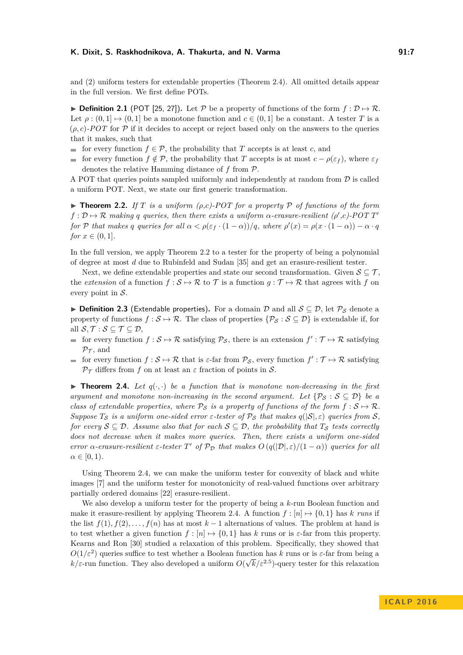and (2) uniform testers for extendable properties (Theorem [2.4\)](#page-6-1). All omitted details appear in the full version. We first define POTs.

**▶ Definition 2.1** (POT [\[25,](#page-13-1) [27\]](#page-13-2)). Let P be a property of functions of the form  $f : \mathcal{D} \mapsto \mathcal{R}$ . Let  $\rho : (0,1] \mapsto (0,1]$  be a monotone function and  $c \in (0,1]$  be a constant. A tester *T* is a  $(\rho, c)$ -POT for  $\mathcal P$  if it decides to accept or reject based only on the answers to the queries that it makes, such that

- for every function  $f \in \mathcal{P}$ , the probability that *T* accepts is at least *c*, and
- for every function  $f \notin \mathcal{P}$ , the probability that *T* accepts is at most  $c \rho(\varepsilon_f)$ , where  $\varepsilon_f$ denotes the relative Hamming distance of *f* from P.

A POT that queries points sampled uniformly and independently at random from  $\mathcal D$  is called a uniform POT. Next, we state our first generic transformation.

<span id="page-6-0"></span>**Find 1.2.** If *T* is a uniform  $(\rho, c)$ -POT for a property  $\mathcal P$  of functions of the form  $f: \mathcal{D} \mapsto \mathcal{R}$  *making q queries, then there exists a uniform*  $\alpha$ -erasure-resilient ( $\rho', c$ )-POT T' *for*  $P$  *that makes*  $q$  *queries for all*  $\alpha < \rho(\varepsilon_f \cdot (1 - \alpha))/q$ *, where*  $\rho'(x) = \rho(x \cdot (1 - \alpha)) - \alpha \cdot q$ *for*  $x \in (0, 1]$ *.* 

In the full version, we apply Theorem [2.2](#page-6-0) to a tester for the property of being a polynomial of degree at most *d* due to Rubinfeld and Sudan [\[35\]](#page-14-1) and get an erasure-resilient tester.

Next, we define extendable properties and state our second transformation. Given  $S \subseteq \mathcal{T}$ , the *extension* of a function  $f : \mathcal{S} \to \mathcal{R}$  to  $\mathcal{T}$  is a function  $g : \mathcal{T} \to \mathcal{R}$  that agrees with f on every point in  $S$ .

**► Definition 2.3** (Extendable properties). For a domain D and all  $S \subseteq D$ , let  $\mathcal{P}_S$  denote a property of functions  $f : \mathcal{S} \to \mathcal{R}$ . The class of properties  $\{\mathcal{P}_{\mathcal{S}} : \mathcal{S} \subseteq \mathcal{D}\}\$  is extendable if, for all  $S, \mathcal{T} : S \subseteq \mathcal{T} \subseteq \mathcal{D}$ ,

- for every function  $f : \mathcal{S} \to \mathcal{R}$  satisfying  $\mathcal{P}_{\mathcal{S}}$ , there is an extension  $f' : \mathcal{T} \mapsto \mathcal{R}$  satisfying  $\mathcal{P}_{\mathcal{T}}$ , and
- for every function  $f : \mathcal{S} \mapsto \mathcal{R}$  that is  $\varepsilon$ -far from  $\mathcal{P}_{\mathcal{S}}$ , every function  $f' : \mathcal{T} \mapsto \mathcal{R}$  satisfying  $\mathcal{P}_{\mathcal{T}}$  differs from *f* on at least an  $\varepsilon$  fraction of points in  $\mathcal{S}$ .

<span id="page-6-1"></span>**If Theorem 2.4.** Let  $q(\cdot, \cdot)$  be a function that is monotone non-decreasing in the first *argument and monotone non-increasing in the second argument. Let*  $\{\mathcal{P}_{\mathcal{S}} : \mathcal{S} \subseteq \mathcal{D}\}\$  *be a class of extendable properties, where*  $P_S$  *is a property of functions of the form*  $f : S \mapsto R$ *. Suppose*  $T_S$  *is a uniform one-sided error*  $\varepsilon$ -tester of  $\mathcal{P}_S$  that makes  $q(|S|, \varepsilon)$  queries from  $S$ *, for every*  $S \subseteq D$ *. Assume also that for each*  $S \subseteq D$ *, the probability that*  $T_S$  *tests correctly does not decrease when it makes more queries. Then, there exists a uniform one-sided error*  $\alpha$ -erasure-resilient  $\varepsilon$ -tester  $T'$  of  $\mathcal{P}_{\mathcal{D}}$  that makes  $O(q(|\mathcal{D}|,\varepsilon)/(1-\alpha))$  queries for all  $\alpha \in [0, 1)$ .

Using Theorem [2.4,](#page-6-1) we can make the uniform tester for convexity of black and white images [\[7\]](#page-12-0) and the uniform tester for monotonicity of real-valued functions over arbitrary partially ordered domains [\[22\]](#page-13-3) erasure-resilient.

We also develop a uniform tester for the property of being a *k*-run Boolean function and make it erasure-resilient by applying Theorem [2.4.](#page-6-1) A function  $f : [n] \mapsto \{0,1\}$  has  $k$  *runs* if the list  $f(1), f(2), \ldots, f(n)$  has at most  $k-1$  alternations of values. The problem at hand is to test whether a given function  $f : [n] \rightarrow \{0,1\}$  has k runs or is  $\varepsilon$ -far from this property. Kearns and Ron [\[30\]](#page-13-18) studied a relaxation of this problem. Specifically, they showed that  $O(1/\varepsilon^2)$  queries suffice to test whether a Boolean function has *k* runs or is  $\varepsilon$ -far from being a  $k/\varepsilon$ -run function. They also developed a uniform  $O(\sqrt{k}/\varepsilon^{2.5})$ -query tester for this relaxation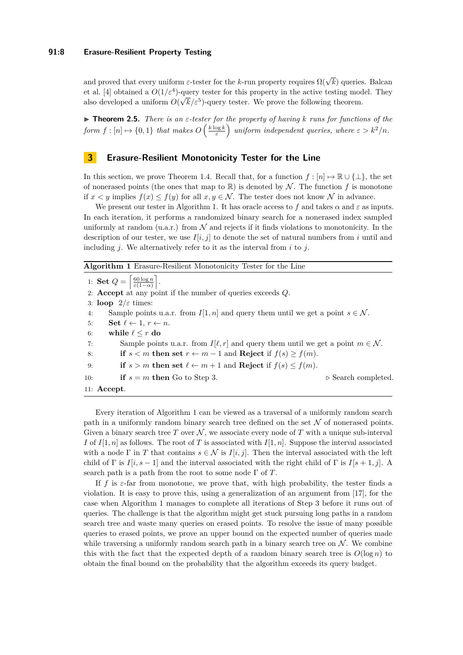and proved that every uniform  $\varepsilon$ -tester for the *k*-run property requires  $\Omega(\sqrt{k})$  queries. Balcan et al. [\[4\]](#page-12-1) obtained a  $O(1/\varepsilon^4)$ -query tester for this property in the active testing model. They also developed a uniform  $O(\sqrt{k}/\varepsilon^5)$ -query tester. We prove the following theorem.

I **Theorem 2.5.** *There is an ε-tester for the property of having k runs for functions of the*  $\text{form } f: [n] \mapsto \{0, 1\} \text{ that makes } O\left(\frac{k \log k}{\varepsilon}\right) \text{ uniform independent queries, where } \varepsilon > k^2/n.$ 

## <span id="page-7-0"></span>**3 Erasure-Resilient Monotonicity Tester for the Line**

In this section, we prove Theorem [1.4.](#page-4-0) Recall that, for a function  $f : [n] \mapsto \mathbb{R} \cup \{\perp\}$ , the set of nonerased points (the ones that map to  $\mathbb{R}$ ) is denoted by N. The function f is monotone if  $x < y$  implies  $f(x) \le f(y)$  for all  $x, y \in \mathcal{N}$ . The tester does not know  $\mathcal N$  in advance.

We present our tester in Algorithm [1.](#page-7-1) It has oracle access to f and takes  $\alpha$  and  $\varepsilon$  as inputs. In each iteration, it performs a randomized binary search for a nonerased index sampled uniformly at random  $(u.a.r.)$  from  $\mathcal N$  and rejects if it finds violations to monotonicity. In the description of our tester, we use  $I[i, j]$  to denote the set of natural numbers from *i* until and including *j*. We alternatively refer to it as the interval from *i* to *j*.

<span id="page-7-1"></span>**Algorithm 1** Erasure-Resilient Monotonicity Tester for the Line

1: **Set**  $Q = \begin{bmatrix}$ 60 log *n ε*(1−*α*) m . 2: **Accept** at any point if the number of queries exceeds *Q*. 3: **loop** 2*/ε* times: 4: Sample points u.a.r. from  $I[1, n]$  and query them until we get a point  $s \in \mathcal{N}$ . 5: **Set**  $\ell \leftarrow 1, r \leftarrow n$ . 6: while  $\ell \leq r$  do 7: Sample points u.a.r. from  $I[\ell, r]$  and query them until we get a point  $m \in \mathcal{N}$ . 8: **if**  $s < m$  **then set**  $r \leftarrow m-1$  and **Reject** if  $f(s) > f(m)$ . 9: **if**  $s > m$  **then set**  $l \leftarrow m + 1$  and **Reject** if  $f(s) \le f(m)$ . 10: **if**  $s = m$  **then** Go to Step [3.](#page-7-1)  $\triangleright$  Search completed. 11: **Accept**.

Every iteration of Algorithm [1](#page-7-1) can be viewed as a traversal of a uniformly random search path in a uniformly random binary search tree defined on the set  $\mathcal N$  of nonerased points. Given a binary search tree  $T$  over  $\mathcal{N}$ , we associate every node of  $T$  with a unique sub-interval *I* of  $I[1, n]$  as follows. The root of *T* is associated with  $I[1, n]$ . Suppose the interval associated with a node  $\Gamma$  in *T* that contains  $s \in \mathcal{N}$  is  $I[i, j]$ . Then the interval associated with the left child of Γ is  $I[i, s - 1]$  and the interval associated with the right child of Γ is  $I[s + 1, j]$ . A search path is a path from the root to some node Γ of *T*.

If  $f$  is  $\varepsilon$ -far from monotone, we prove that, with high probability, the tester finds a violation. It is easy to prove this, using a generalization of an argument from [\[17\]](#page-13-5), for the case when Algorithm [1](#page-7-1) manages to complete all iterations of Step [3](#page-7-1) before it runs out of queries. The challenge is that the algorithm might get stuck pursuing long paths in a random search tree and waste many queries on erased points. To resolve the issue of many possible queries to erased points, we prove an upper bound on the expected number of queries made while traversing a uniformly random search path in a binary search tree on  $\mathcal N$ . We combine this with the fact that the expected depth of a random binary search tree is  $O(\log n)$  to obtain the final bound on the probability that the algorithm exceeds its query budget.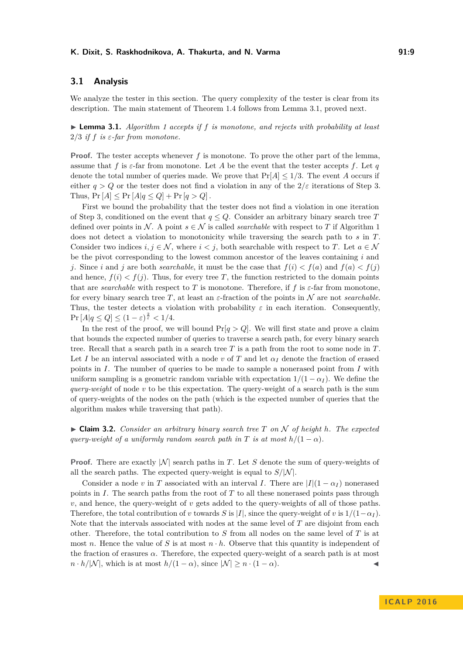## **3.1 Analysis**

We analyze the tester in this section. The query complexity of the tester is clear from its description. The main statement of Theorem [1.4](#page-4-0) follows from Lemma [3.1,](#page-8-1) proved next.

<span id="page-8-1"></span> $\triangleright$  **Lemma 3.1.** *Algorithm [1](#page-7-1)* accepts if f is monotone, and rejects with probability at least 2/3 *if*  $f$  *is*  $\varepsilon$ -far from monotone.

**Proof.** The tester accepts whenever f is monotone. To prove the other part of the lemma, assume that *f* is  $\varepsilon$ -far from monotone. Let *A* be the event that the tester accepts *f*. Let *q* denote the total number of queries made. We prove that  $Pr[A] \leq 1/3$ . The event *A* occurs if either  $q > Q$  or the tester does not find a violation in any of the  $2/\varepsilon$  iterations of Step [3.](#page-7-1) Thus,  $Pr[A] \leq Pr[A|q \leq Q] + Pr[q > Q]$ .

First we bound the probability that the tester does not find a violation in one iteration of Step [3,](#page-7-1) conditioned on the event that  $q \leq Q$ . Consider an arbitrary binary search tree T defined over points in N. A point  $s \in \mathcal{N}$  is called *searchable* with respect to T if Algorithm [1](#page-7-1) does not detect a violation to monotonicity while traversing the search path to *s* in *T*. Consider two indices  $i, j \in \mathcal{N}$ , where  $i < j$ , both searchable with respect to *T*. Let  $a \in \mathcal{N}$ be the pivot corresponding to the lowest common ancestor of the leaves containing *i* and *j*. Since *i* and *j* are both *searchable*, it must be the case that  $f(i) < f(a)$  and  $f(a) < f(j)$ and hence,  $f(i) < f(j)$ . Thus, for every tree *T*, the function restricted to the domain points that are *searchable* with respect to *T* is monotone. Therefore, if  $f$  is  $\varepsilon$ -far from monotone, for every binary search tree *T*, at least an  $\varepsilon$ -fraction of the points in N are not *searchable*. Thus, the tester detects a violation with probability  $\varepsilon$  in each iteration. Consequently,  $\Pr[A|q \leq Q] \leq (1 - \varepsilon)^{\frac{2}{\varepsilon}} < 1/4.$ 

In the rest of the proof, we will bound  $Pr[q > Q]$ . We will first state and prove a claim that bounds the expected number of queries to traverse a search path, for every binary search tree. Recall that a search path in a search tree *T* is a path from the root to some node in *T*. Let *I* be an interval associated with a node  $v$  of  $T$  and let  $\alpha_I$  denote the fraction of erased points in *I*. The number of queries to be made to sample a nonerased point from *I* with uniform sampling is a geometric random variable with expectation  $1/(1 - \alpha_I)$ . We define the *query-weight* of node *v* to be this expectation. The query-weight of a search path is the sum of query-weights of the nodes on the path (which is the expected number of queries that the algorithm makes while traversing that path).

<span id="page-8-0"></span> $\triangleright$  **Claim 3.2.** *Consider an arbitrary binary search tree T on*  $\mathcal N$  *of height*  $h$ *. The expected query-weight of a uniformly random search path in T is at most*  $h/(1 - \alpha)$ *.* 

**Proof.** There are exactly  $|N|$  search paths in *T*. Let *S* denote the sum of query-weights of all the search paths. The expected query-weight is equal to  $S/N$ .

Consider a node *v* in *T* associated with an interval *I*. There are  $|I|(1 - \alpha_I)$  nonerased points in *I*. The search paths from the root of *T* to all these nonerased points pass through *v*, and hence, the query-weight of *v* gets added to the query-weights of all of those paths. Therefore, the total contribution of *v* towards *S* is  $|I|$ , since the query-weight of *v* is  $1/(1-\alpha_I)$ . Note that the intervals associated with nodes at the same level of *T* are disjoint from each other. Therefore, the total contribution to *S* from all nodes on the same level of *T* is at most *n*. Hence the value of *S* is at most  $n \cdot h$ . Observe that this quantity is independent of the fraction of erasures  $\alpha$ . Therefore, the expected query-weight of a search path is at most  $n \cdot h/|\mathcal{N}|$ , which is at most  $h/(1 - \alpha)$ , since  $|\mathcal{N}| \geq n \cdot (1 - \alpha)$ .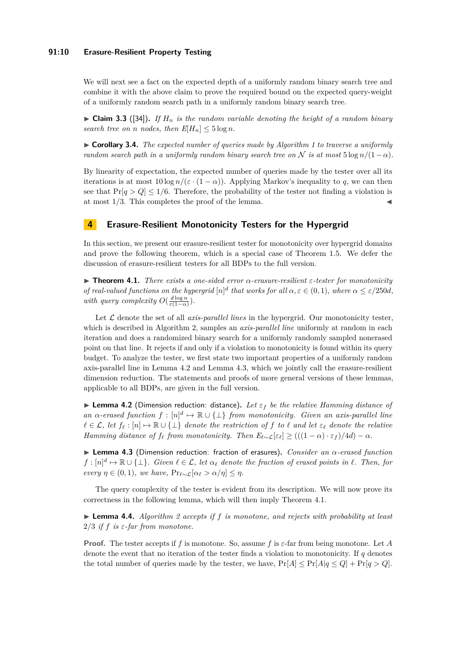## **91:10 Erasure-Resilient Property Testing**

We will next see a fact on the expected depth of a uniformly random binary search tree and combine it with the above claim to prove the required bound on the expected query-weight of a uniformly random search path in a uniformly random binary search tree.

 $\triangleright$  **Claim 3.3** ([\[34\]](#page-13-19)). If  $H_n$  is the random variable denoting the height of a random binary *search tree on n nodes, then*  $E[H_n] \leq 5 \log n$ .

<span id="page-9-4"></span>I **Corollary 3.4.** *The expected number of queries made by Algorithm [1](#page-7-1) to traverse a uniformly random search path in a uniformly random binary search tree on*  $\mathcal N$  *is at most*  $5 \log n/(1-\alpha)$ *.* 

By linearity of expectation, the expected number of queries made by the tester over all its iterations is at most  $10 \log n/(\varepsilon \cdot (1 - \alpha))$ . Applying Markov's inequality to q, we can then see that  $Pr[q > Q] \leq 1/6$ . Therefore, the probability of the tester not finding a violation is at most  $1/3$ . This completes the proof of the lemma.

## <span id="page-9-0"></span>**4 Erasure-Resilient Monotonicity Testers for the Hypergrid**

In this section, we present our erasure-resilient tester for monotonicity over hypergrid domains and prove the following theorem, which is a special case of Theorem [1.5.](#page-5-1) We defer the discussion of erasure-resilient testers for all BDPs to the full version.

<span id="page-9-3"></span>I **Theorem 4.1.** *There exists a one-sided error α-erasure-resilient ε-tester for monotonicity of real-valued functions on the hypergrid*  $[n]^d$  *that works for all*  $\alpha, \varepsilon \in (0, 1)$ *, where*  $\alpha \leq \varepsilon/250d$ *, with query complexity*  $O(\frac{d \log n}{\varepsilon(1-\alpha)})$ *.* 

Let  $\mathcal L$  denote the set of all *axis-parallel lines* in the hypergrid. Our monotonicity tester, which is described in Algorithm [2,](#page-10-1) samples an *axis-parallel line* uniformly at random in each iteration and does a randomized binary search for a uniformly randomly sampled nonerased point on that line. It rejects if and only if a violation to monotonicity is found within its query budget. To analyze the tester, we first state two important properties of a uniformly random axis-parallel line in Lemma [4.2](#page-9-1) and Lemma [4.3,](#page-9-2) which we jointly call the erasure-resilient dimension reduction. The statements and proofs of more general versions of these lemmas, applicable to all BDPs, are given in the full version.

<span id="page-9-1"></span>**Lemma 4.2** (Dimension reduction: distance). Let  $\varepsilon_f$  be the relative Hamming distance of *an*  $\alpha$ -erased function  $f : [n]^d \mapsto \mathbb{R} \cup \{\perp\}$  from monotonicity. Given an axis-parallel line  $\ell \in \mathcal{L}$ , let  $f_{\ell}: [n] \mapsto \mathbb{R} \cup \{\perp\}$  denote the restriction of f to  $\ell$  and let  $\varepsilon_{\ell}$  denote the relative *Hamming distance of*  $f_{\ell}$  *from monotonicity. Then*  $E_{\ell \sim \mathcal{L}}[\varepsilon_{\ell}] \geq (((1 - \alpha) \cdot \varepsilon_{f})/4d) - \alpha$ .

<span id="page-9-2"></span>I **Lemma 4.3** (Dimension reduction: fraction of erasures)**.** *Consider an α-erased function*  $f : [n]^d \mapsto \mathbb{R} \cup \{\perp\}$ . Given  $\ell \in \mathcal{L}$ , let  $\alpha_{\ell}$  denote the fraction of erased points in  $\ell$ . Then, for *every*  $\eta \in (0,1)$ *, we have,*  $\Pr_{\ell \sim \mathcal{L}}[\alpha_{\ell} > \alpha/\eta] \leq \eta$ *.* 

The query complexity of the tester is evident from its description. We will now prove its correctness in the following lemma, which will then imply Theorem [4.1.](#page-9-3)

 $\triangleright$  **Lemma 4.4.** *Algorithm* [2](#page-10-1) accepts if f is monotone, and rejects with probability at least  $2/3$  *if f is*  $\varepsilon$ *-far from monotone.* 

**Proof.** The tester accepts if *f* is monotone. So, assume *f* is *ε*-far from being monotone. Let *A* denote the event that no iteration of the tester finds a violation to monotonicity. If *q* denotes the total number of queries made by the tester, we have,  $Pr[A] \leq Pr[A|q \leq Q] + Pr[q > Q]$ .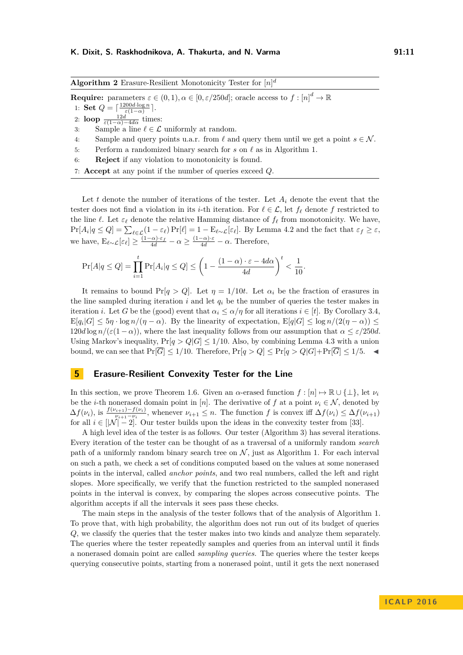<span id="page-10-1"></span>**Algorithm 2** Erasure-Resilient Monotonicity Tester for [*n*] *d*

**Require:** parameters  $\varepsilon \in (0, 1), \alpha \in [0, \varepsilon/250d]$ ; oracle access to  $f : [n]^d \to \mathbb{R}$ 

1: **Set**  $Q = \lceil \frac{1200d \cdot \log n}{\varepsilon(1-\alpha)} \rceil$ .

- 2: **loop**  $\frac{12d}{\varepsilon(1-\alpha)-4d\alpha}$  times:
- 3: Sample a line  $\ell \in \mathcal{L}$  uniformly at random.
- 4: Sample and query points u.a.r. from  $\ell$  and query them until we get a point  $s \in \mathcal{N}$ .
- 5: Perform a randomized binary search for  $s$  on  $\ell$  as in Algorithm [1.](#page-7-1)
- 6: **Reject** if any violation to monotonicity is found.
- 7: **Accept** at any point if the number of queries exceed *Q*.

Let  $t$  denote the number of iterations of the tester. Let  $A_i$  denote the event that the tester does not find a violation in its *i*-th iteration. For  $\ell \in \mathcal{L}$ , let  $f_{\ell}$  denote  $f$  restricted to the line  $\ell$ . Let  $\varepsilon_{\ell}$  denote the relative Hamming distance of  $f_{\ell}$  from monotonicity. We have,  $\Pr[A_i|q \leq Q] = \sum_{\ell \in \mathcal{L}} (1 - \varepsilon_{\ell}) \Pr[\ell] = 1 - \mathbb{E}_{\ell \sim \mathcal{L}}[\varepsilon_{\ell}]$ . By Lemma [4.2](#page-9-1) and the fact that  $\varepsilon_f \geq \varepsilon$ , we have,  $E_{\ell \sim \mathcal{L}}[\varepsilon_{\ell}] \geq \frac{(1-\alpha)\cdot\varepsilon_{f}}{4d} - \alpha \geq \frac{(1-\alpha)\cdot\varepsilon}{4d} - \alpha$ . Therefore,

$$
\Pr[A|q \le Q] = \prod_{i=1}^t \Pr[A_i|q \le Q] \le \left(1 - \frac{(1-\alpha) \cdot \varepsilon - 4d\alpha}{4d}\right)^t < \frac{1}{10}.
$$

It remains to bound  $Pr[q > Q]$ . Let  $\eta = 1/10t$ . Let  $\alpha_i$  be the fraction of erasures in the line sampled during iteration  $i$  and let  $q_i$  be the number of queries the tester makes in iteration *i*. Let *G* be the (good) event that  $\alpha_i \leq \alpha/\eta$  for all iterations  $i \in [t]$ . By Corollary [3.4,](#page-9-4)  $\mathbb{E}[q_i|G] \leq 5\eta \cdot \log n/(\eta - \alpha)$ . By the linearity of expectation,  $\mathbb{E}[q|G] \leq \log n/(2(\eta - \alpha)) \leq$  $120d \log n/(\varepsilon(1-\alpha))$ , where the last inequality follows from our assumption that  $\alpha \leq \varepsilon/250d$ . Using Markov's inequality,  $Pr[q > Q|G] \leq 1/10$ . Also, by combining Lemma [4.3](#page-9-2) with a union bound, we can see that  $Pr[\overline{G}] \leq 1/10$ . Therefore,  $Pr[q > Q] \leq Pr[q > Q|G] + Pr[\overline{G}] \leq 1/5$ .

## <span id="page-10-0"></span>**5 Erasure-Resilient Convexity Tester for the Line**

In this section, we prove Theorem [1.6.](#page-5-2) Given an *α*-erased function  $f : [n] \mapsto \mathbb{R} \cup \{\perp\}$ , let  $\nu_i$ be the *i*-th nonerased domain point in [*n*]. The derivative of *f* at a point  $\nu_i \in \mathcal{N}$ , denoted by  $\Delta f(\nu_i)$ , is  $\frac{f(\nu_{i+1})-f(\nu_i)}{\nu_{i+1}-\nu_i}$ , whenever  $\nu_{i+1} \leq n$ . The function f is convex iff  $\Delta f(\nu_i) \leq \Delta f(\nu_{i+1})$ for all  $i \in [N] - 2$ . Our tester builds upon the ideas in the convexity tester from [\[33\]](#page-13-17).

A high level idea of the tester is as follows. Our tester (Algorithm [3\)](#page-11-0) has several iterations. Every iteration of the tester can be thought of as a traversal of a uniformly random *search* path of a uniformly random binary search tree on  $\mathcal N$ , just as Algorithm [1.](#page-7-1) For each interval on such a path, we check a set of conditions computed based on the values at some nonerased points in the interval, called *anchor points*, and two real numbers, called the left and right slopes. More specifically, we verify that the function restricted to the sampled nonerased points in the interval is convex, by comparing the slopes across consecutive points. The algorithm accepts if all the intervals it sees pass these checks.

The main steps in the analysis of the tester follows that of the analysis of Algorithm [1.](#page-7-1) To prove that, with high probability, the algorithm does not run out of its budget of queries *Q*, we classify the queries that the tester makes into two kinds and analyze them separately. The queries where the tester repeatedly samples and queries from an interval until it finds a nonerased domain point are called *sampling queries.* The queries where the tester keeps querying consecutive points, starting from a nonerased point, until it gets the next nonerased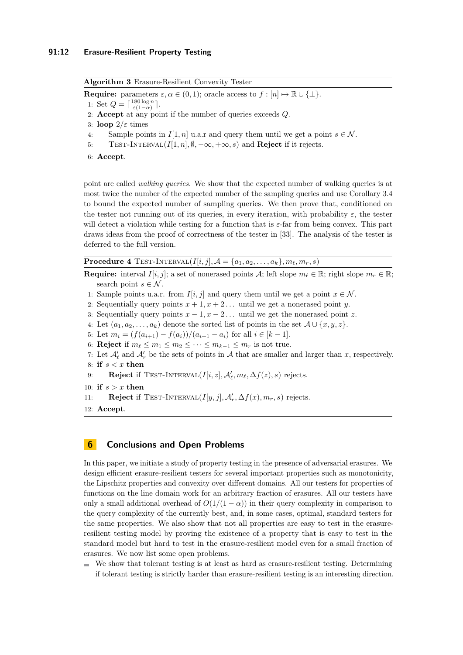<span id="page-11-0"></span>**Algorithm 3** Erasure-Resilient Convexity Tester **Require:** parameters  $\varepsilon, \alpha \in (0, 1)$ ; oracle access to  $f : [n] \mapsto \mathbb{R} \cup \{\perp\}.$ 1: Set  $Q = \lceil \frac{180 \log n}{\varepsilon (1-\alpha)} \rceil$ . 2: **Accept** at any point if the number of queries exceeds *Q*. 3: **loop** 2*/ε* times 4: Sample points in  $I[1, n]$  u.a.r and query them until we get a point  $s \in \mathcal{N}$ . 5: TEST-INTERVAL( $I[1, n], \emptyset, -\infty, +\infty, s$ ) and **Reject** if it rejects. 6: **Accept**.

point are called *walking queries.* We show that the expected number of walking queries is at most twice the number of the expected number of the sampling queries and use Corollary [3.4](#page-9-4) to bound the expected number of sampling queries. We then prove that, conditioned on the tester not running out of its queries, in every iteration, with probability  $\varepsilon$ , the tester will detect a violation while testing for a function that is *ε*-far from being convex. This part draws ideas from the proof of correctness of the tester in [\[33\]](#page-13-17). The analysis of the tester is deferred to the full version.

**Procedure 4** TEST-INTERVAL(*I*[*i*, *j*],  $A = \{a_1, a_2, \ldots, a_k\}, m_\ell, m_r, s$ )

**Require:** interval  $I[i, j]$ ; a set of nonerased points A; left slope  $m_\ell \in \mathbb{R}$ ; right slope  $m_r \in \mathbb{R}$ ; search point  $s \in \mathcal{N}$ .

- 1: Sample points u.a.r. from  $I[i, j]$  and query them until we get a point  $x \in \mathcal{N}$ .
- 2: Sequentially query points  $x + 1, x + 2...$  until we get a nonerased point *y*.
- 3: Sequentially query points  $x 1$ ,  $x 2$ ... until we get the nonerased point *z*.
- 4: Let  $(a_1, a_2, \ldots, a_k)$  denote the sorted list of points in the set  $A \cup \{x, y, z\}$ .
- 5: Let  $m_i = (f(a_{i+1}) f(a_i))/(a_{i+1} a_i)$  for all  $i \in [k-1]$ .
- 6: **Reject** if  $m_\ell \leq m_1 \leq m_2 \leq \cdots \leq m_{k-1} \leq m_r$  is not true.
- 7: Let  $\mathcal{A}'_l$  and  $\mathcal{A}'_r$  be the sets of points in  $\mathcal A$  that are smaller and larger than *x*, respectively. 8: **if** *s < x* **then**
- 9: **Reject** if TEST-INTERVAL( $I[i, z]$ ,  $\mathcal{A}'_{\ell}$ ,  $m_{\ell}$ ,  $\Delta f(z)$ , *s*) rejects.

```
10: if s > x then
```
- 11: **Reject** if TEST-INTERVAL(*I*[*y, j*],  $\mathcal{A}'_r$ ,  $\Delta f(x)$ *, m<sub>r</sub>, s*) rejects.
- 12: **Accept**.

## **6 Conclusions and Open Problems**

In this paper, we initiate a study of property testing in the presence of adversarial erasures. We design efficient erasure-resilient testers for several important properties such as monotonicity, the Lipschitz properties and convexity over different domains. All our testers for properties of functions on the line domain work for an arbitrary fraction of erasures. All our testers have only a small additional overhead of  $O(1/(1 - \alpha))$  in their query complexity in comparison to the query complexity of the currently best, and, in some cases, optimal, standard testers for the same properties. We also show that not all properties are easy to test in the erasureresilient testing model by proving the existence of a property that is easy to test in the standard model but hard to test in the erasure-resilient model even for a small fraction of erasures. We now list some open problems.

We show that tolerant testing is at least as hard as erasure-resilient testing. Determining if tolerant testing is strictly harder than erasure-resilient testing is an interesting direction.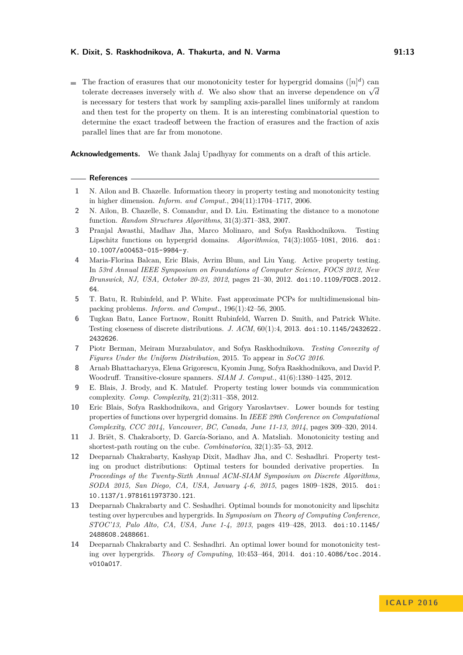The fraction of erasures that our monotonicity tester for hypergrid domains  $([n]^d)$  can The fraction of erasures that our monotometry tester for hypergrid domains  $\lfloor n \rfloor$  can tolerate decreases inversely with *d*. We also show that an inverse dependence on  $\sqrt{d}$ is necessary for testers that work by sampling axis-parallel lines uniformly at random and then test for the property on them. It is an interesting combinatorial question to determine the exact tradeoff between the fraction of erasures and the fraction of axis parallel lines that are far from monotone.

**Acknowledgements.** We thank Jalaj Upadhyay for comments on a draft of this article.

#### **References**

- <span id="page-12-5"></span>**1** N. Ailon and B. Chazelle. Information theory in property testing and monotonicity testing in higher dimension. *Inform. and Comput.*, 204(11):1704–1717, 2006.
- <span id="page-12-7"></span>**2** N. Ailon, B. Chazelle, S. Comandur, and D. Liu. Estimating the distance to a monotone function. *Random Structures Algorithms*, 31(3):371–383, 2007.
- <span id="page-12-13"></span>**3** Pranjal Awasthi, Madhav Jha, Marco Molinaro, and Sofya Raskhodnikova. Testing Lipschitz functions on hypergrid domains. *Algorithmica*, 74(3):1055–1081, 2016. [doi:](http://dx.doi.org/10.1007/s00453-015-9984-y) [10.1007/s00453-015-9984-y](http://dx.doi.org/10.1007/s00453-015-9984-y).
- <span id="page-12-1"></span>**4** Maria-Florina Balcan, Eric Blais, Avrim Blum, and Liu Yang. Active property testing. In *53rd Annual IEEE Symposium on Foundations of Computer Science, FOCS 2012, New Brunswick, NJ, USA, October 20-23, 2012*, pages 21–30, 2012. [doi:10.1109/FOCS.2012.](http://dx.doi.org/10.1109/FOCS.2012.64) [64](http://dx.doi.org/10.1109/FOCS.2012.64).
- <span id="page-12-6"></span>**5** T. Batu, R. Rubinfeld, and P. White. Fast approximate PCPs for multidimensional binpacking problems. *Inform. and Comput.*, 196(1):42–56, 2005.
- <span id="page-12-2"></span>**6** Tugkan Batu, Lance Fortnow, Ronitt Rubinfeld, Warren D. Smith, and Patrick White. Testing closeness of discrete distributions. *J. ACM*, 60(1):4, 2013. [doi:10.1145/2432622.](http://dx.doi.org/10.1145/2432622.2432626) [2432626](http://dx.doi.org/10.1145/2432622.2432626).
- <span id="page-12-0"></span>**7** Piotr Berman, Meiram Murzabulatov, and Sofya Raskhodnikova. *Testing Convexity of Figures Under the Uniform Distribution*, 2015. To appear in *SoCG 2016*.
- <span id="page-12-3"></span>**8** Arnab Bhattacharyya, Elena Grigorescu, Kyomin Jung, Sofya Raskhodnikova, and David P. Woodruff. Transitive-closure spanners. *SIAM J. Comput.*, 41(6):1380–1425, 2012.
- <span id="page-12-9"></span>**9** E. Blais, J. Brody, and K. Matulef. Property testing lower bounds via communication complexity. *Comp. Complexity*, 21(2):311–358, 2012.
- <span id="page-12-11"></span>**10** Eric Blais, Sofya Raskhodnikova, and Grigory Yaroslavtsev. Lower bounds for testing properties of functions over hypergrid domains. In *IEEE 29th Conference on Computational Complexity, CCC 2014, Vancouver, BC, Canada, June 11-13, 2014*, pages 309–320, 2014.
- <span id="page-12-8"></span>**11** J. Briët, S. Chakraborty, D. García-Soriano, and A. Matsliah. Monotonicity testing and shortest-path routing on the cube. *Combinatorica*, 32(1):35–53, 2012.
- <span id="page-12-12"></span>**12** Deeparnab Chakrabarty, Kashyap Dixit, Madhav Jha, and C. Seshadhri. Property testing on product distributions: Optimal testers for bounded derivative properties. In *Proceedings of the Twenty-Sixth Annual ACM-SIAM Symposium on Discrete Algorithms, SODA 2015, San Diego, CA, USA, January 4-6, 2015*, pages 1809–1828, 2015. [doi:](http://dx.doi.org/10.1137/1.9781611973730.121) [10.1137/1.9781611973730.121](http://dx.doi.org/10.1137/1.9781611973730.121).
- <span id="page-12-4"></span>**13** Deeparnab Chakrabarty and C. Seshadhri. Optimal bounds for monotonicity and lipschitz testing over hypercubes and hypergrids. In *Symposium on Theory of Computing Conference, STOC'13, Palo Alto, CA, USA, June 1-4, 2013*, pages 419–428, 2013. [doi:10.1145/](http://dx.doi.org/10.1145/2488608.2488661) [2488608.2488661](http://dx.doi.org/10.1145/2488608.2488661).
- <span id="page-12-10"></span>**14** Deeparnab Chakrabarty and C. Seshadhri. An optimal lower bound for monotonicity testing over hypergrids. *Theory of Computing*, 10:453–464, 2014. [doi:10.4086/toc.2014.](http://dx.doi.org/10.4086/toc.2014.v010a017) [v010a017](http://dx.doi.org/10.4086/toc.2014.v010a017).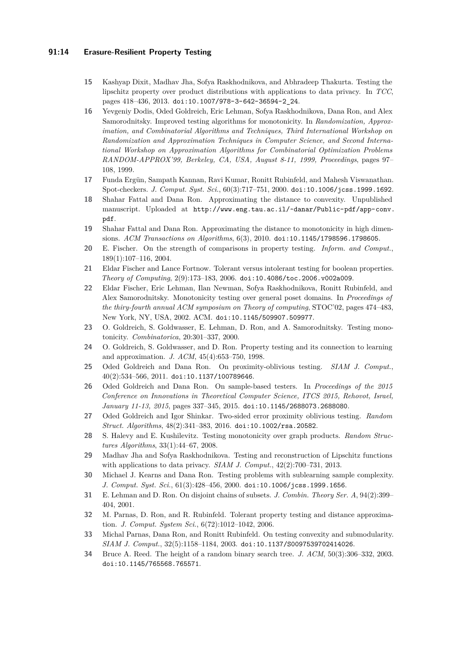## **91:14 Erasure-Resilient Property Testing**

- <span id="page-13-16"></span>**15** Kashyap Dixit, Madhav Jha, Sofya Raskhodnikova, and Abhradeep Thakurta. Testing the lipschitz property over product distributions with applications to data privacy. In *TCC*, pages 418–436, 2013. [doi:10.1007/978-3-642-36594-2\\_24](http://dx.doi.org/10.1007/978-3-642-36594-2_24).
- <span id="page-13-12"></span>**16** Yevgeniy Dodis, Oded Goldreich, Eric Lehman, Sofya Raskhodnikova, Dana Ron, and Alex Samorodnitsky. Improved testing algorithms for monotonicity. In *Randomization, Approximation, and Combinatorial Algorithms and Techniques, Third International Workshop on Randomization and Approximation Techniques in Computer Science, and Second International Workshop on Approximation Algorithms for Combinatorial Optimization Problems RANDOM-APPROX'99, Berkeley, CA, USA, August 8-11, 1999, Proceedings*, pages 97– 108, 1999.
- <span id="page-13-5"></span>**17** Funda Ergün, Sampath Kannan, Ravi Kumar, Ronitt Rubinfeld, and Mahesh Viswanathan. Spot-checkers. *J. Comput. Syst. Sci.*, 60(3):717–751, 2000. [doi:10.1006/jcss.1999.1692](http://dx.doi.org/10.1006/jcss.1999.1692).
- <span id="page-13-10"></span>**18** Shahar Fattal and Dana Ron. Approximating the distance to convexity. Unpublished manuscript. Uploaded at [http://www.eng.tau.ac.il/~danar/Public-pdf/app-conv.](http://www.eng.tau.ac.il/~danar/Public-pdf/app-conv.pdf) [pdf](http://www.eng.tau.ac.il/~danar/Public-pdf/app-conv.pdf).
- <span id="page-13-9"></span>**19** Shahar Fattal and Dana Ron. Approximating the distance to monotonicity in high dimensions. *ACM Transactions on Algorithms*, 6(3), 2010. [doi:10.1145/1798596.1798605](http://dx.doi.org/10.1145/1798596.1798605).
- <span id="page-13-6"></span>**20** E. Fischer. On the strength of comparisons in property testing. *Inform. and Comput.*, 189(1):107–116, 2004.
- <span id="page-13-7"></span>**21** Eldar Fischer and Lance Fortnow. Tolerant versus intolerant testing for boolean properties. *Theory of Computing*, 2(9):173–183, 2006. [doi:10.4086/toc.2006.v002a009](http://dx.doi.org/10.4086/toc.2006.v002a009).
- <span id="page-13-3"></span>**22** Eldar Fischer, Eric Lehman, Ilan Newman, Sofya Raskhodnikova, Ronitt Rubinfeld, and Alex Samorodnitsky. Monotonicity testing over general poset domains. In *Proceedings of the thiry-fourth annual ACM symposium on Theory of computing*, STOC'02, pages 474–483, New York, NY, USA, 2002. ACM. [doi:10.1145/509907.509977](http://dx.doi.org/10.1145/509907.509977).
- <span id="page-13-11"></span>**23** O. Goldreich, S. Goldwasser, E. Lehman, D. Ron, and A. Samorodnitsky. Testing monotonicity. *Combinatorica*, 20:301–337, 2000.
- <span id="page-13-0"></span>**24** O. Goldreich, S. Goldwasser, and D. Ron. Property testing and its connection to learning and approximation. *J. ACM*, 45(4):653–750, 1998.
- <span id="page-13-1"></span>**25** Oded Goldreich and Dana Ron. On proximity-oblivious testing. *SIAM J. Comput.*,  $40(2):534-566, 2011.$  [doi:10.1137/100789646](http://dx.doi.org/10.1137/100789646).
- <span id="page-13-4"></span>**26** Oded Goldreich and Dana Ron. On sample-based testers. In *Proceedings of the 2015 Conference on Innovations in Theoretical Computer Science, ITCS 2015, Rehovot, Israel, January 11-13, 2015*, pages 337–345, 2015. [doi:10.1145/2688073.2688080](http://dx.doi.org/10.1145/2688073.2688080).
- <span id="page-13-2"></span>**27** Oded Goldreich and Igor Shinkar. Two-sided error proximity oblivious testing. *Random Struct. Algorithms*, 48(2):341–383, 2016. [doi:10.1002/rsa.20582](http://dx.doi.org/10.1002/rsa.20582).
- <span id="page-13-14"></span>**28** S. Halevy and E. Kushilevitz. Testing monotonicity over graph products. *Random Structures Algorithms*, 33(1):44–67, 2008.
- <span id="page-13-15"></span>**29** Madhav Jha and Sofya Raskhodnikova. Testing and reconstruction of Lipschitz functions with applications to data privacy. *SIAM J. Comput.*, 42(2):700–731, 2013.
- <span id="page-13-18"></span>**30** Michael J. Kearns and Dana Ron. Testing problems with sublearning sample complexity. *J. Comput. Syst. Sci.*, 61(3):428–456, 2000. [doi:10.1006/jcss.1999.1656](http://dx.doi.org/10.1006/jcss.1999.1656).
- <span id="page-13-13"></span>**31** E. Lehman and D. Ron. On disjoint chains of subsets. *J. Combin. Theory Ser. A*, 94(2):399– 404, 2001.
- <span id="page-13-8"></span>**32** M. Parnas, D. Ron, and R. Rubinfeld. Tolerant property testing and distance approximation. *J. Comput. System Sci.*, 6(72):1012–1042, 2006.
- <span id="page-13-17"></span>**33** Michal Parnas, Dana Ron, and Ronitt Rubinfeld. On testing convexity and submodularity. *SIAM J. Comput.*, 32(5):1158–1184, 2003. [doi:10.1137/S0097539702414026](http://dx.doi.org/10.1137/S0097539702414026).
- <span id="page-13-19"></span>**34** Bruce A. Reed. The height of a random binary search tree. *J. ACM*, 50(3):306–332, 2003. [doi:10.1145/765568.765571](http://dx.doi.org/10.1145/765568.765571).